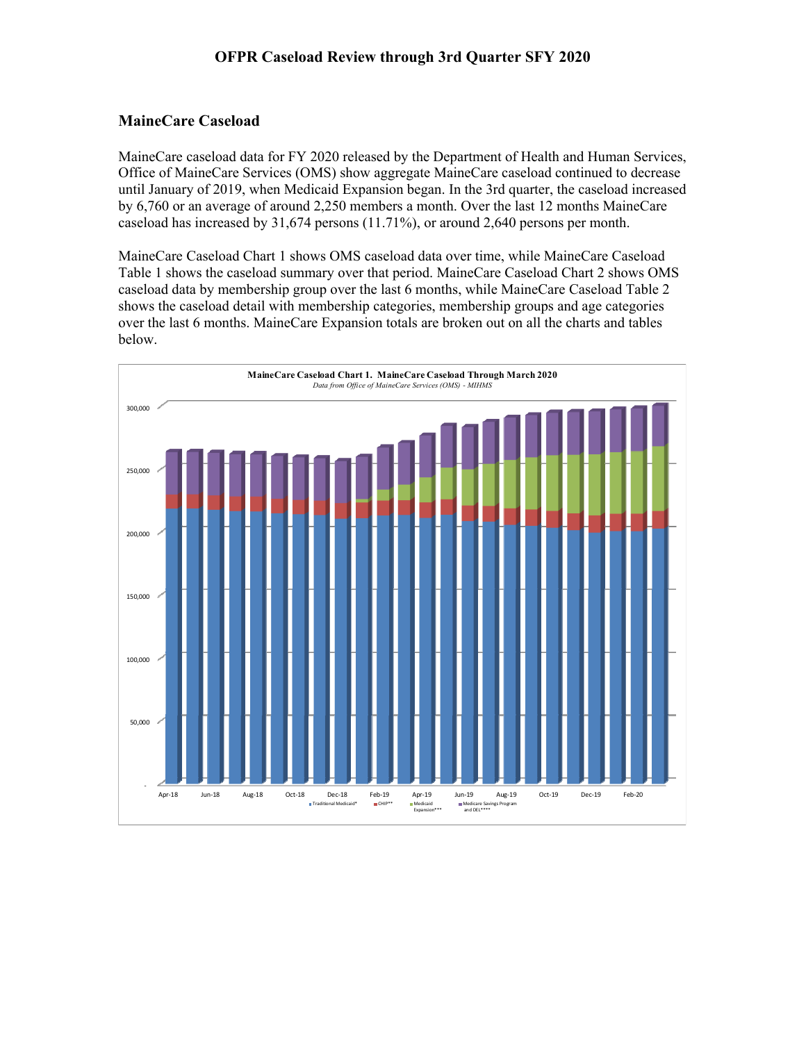## **MaineCare Caseload**

MaineCare caseload data for FY 2020 released by the Department of Health and Human Services, Office of MaineCare Services (OMS) show aggregate MaineCare caseload continued to decrease until January of 2019, when Medicaid Expansion began. In the 3rd quarter, the caseload increased by 6,760 or an average of around 2,250 members a month. Over the last 12 months MaineCare caseload has increased by 31,674 persons (11.71%), or around 2,640 persons per month.

MaineCare Caseload Chart 1 shows OMS caseload data over time, while MaineCare Caseload Table 1 shows the caseload summary over that period. MaineCare Caseload Chart 2 shows OMS caseload data by membership group over the last 6 months, while MaineCare Caseload Table 2 shows the caseload detail with membership categories, membership groups and age categories over the last 6 months. MaineCare Expansion totals are broken out on all the charts and tables below.

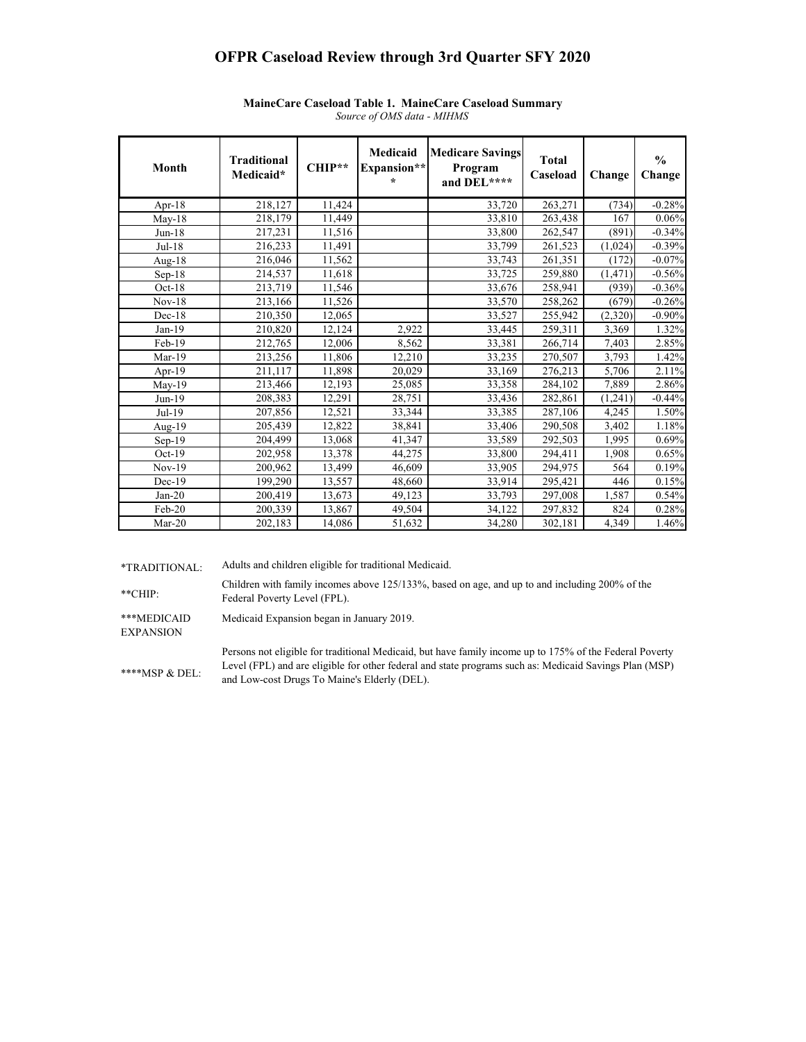## **OFPR Caseload Review through 3rd Quarter SFY 2020**

| Month     | <b>Traditional</b><br>Medicaid* | CHIP** | Medicaid<br>Expansion**<br>$\star$ | <b>Medicare Savings</b><br>Program<br>and DEL**** | <b>Total</b><br>Caseload | Change   | $\frac{0}{0}$<br>Change |
|-----------|---------------------------------|--------|------------------------------------|---------------------------------------------------|--------------------------|----------|-------------------------|
| Apr- $18$ | 218,127                         | 11,424 |                                    | 33,720                                            | 263,271                  | (734)    | $-0.28%$                |
| $May-18$  | 218,179                         | 11,449 |                                    | 33,810                                            | 263,438                  | 167      | 0.06%                   |
| $Jun-18$  | 217,231                         | 11,516 |                                    | 33,800                                            | 262,547                  | (891)    | $-0.34%$                |
| Jul-18    | 216,233                         | 11,491 |                                    | 33,799                                            | 261,523                  | (1,024)  | $-0.39%$                |
| Aug- $18$ | 216,046                         | 11,562 |                                    | 33,743                                            | 261,351                  | (172)    | $-0.07%$                |
| $Sep-18$  | 214,537                         | 11,618 |                                    | 33,725                                            | 259,880                  | (1, 471) | $-0.56%$                |
| $Oct-18$  | 213,719                         | 11,546 |                                    | 33,676                                            | 258,941                  | (939)    | $-0.36%$                |
| $Nov-18$  | 213,166                         | 11,526 |                                    | 33,570                                            | 258,262                  | (679)    | $-0.26%$                |
| $Dec-18$  | 210,350                         | 12,065 |                                    | 33,527                                            | 255,942                  | (2,320)  | $-0.90%$                |
| $Jan-19$  | 210,820                         | 12,124 | 2,922                              | 33,445                                            | 259,311                  | 3,369    | 1.32%                   |
| Feb-19    | 212,765                         | 12,006 | 8,562                              | 33,381                                            | 266,714                  | 7,403    | 2.85%                   |
| Mar-19    | 213,256                         | 11,806 | 12,210                             | 33,235                                            | 270,507                  | 3,793    | 1.42%                   |
| Apr-19    | 211.117                         | 11,898 | 20,029                             | 33,169                                            | 276,213                  | 5,706    | 2.11%                   |
| $May-19$  | 213,466                         | 12,193 | 25,085                             | 33,358                                            | 284,102                  | 7,889    | 2.86%                   |
| $Jun-19$  | 208,383                         | 12,291 | 28,751                             | 33,436                                            | 282,861                  | (1,241)  | $-0.44%$                |
| Jul-19    | 207,856                         | 12,521 | 33,344                             | 33,385                                            | 287,106                  | 4,245    | 1.50%                   |
| Aug-19    | 205,439                         | 12,822 | 38,841                             | 33,406                                            | 290,508                  | 3,402    | 1.18%                   |
| $Sep-19$  | 204,499                         | 13,068 | 41,347                             | 33,589                                            | 292,503                  | 1,995    | 0.69%                   |
| $Oct-19$  | 202,958                         | 13,378 | 44,275                             | 33,800                                            | 294,411                  | 1,908    | 0.65%                   |
| $Nov-19$  | 200.962                         | 13,499 | 46.609                             | 33,905                                            | 294,975                  | 564      | 0.19%                   |
| $Dec-19$  | 199,290                         | 13,557 | 48,660                             | 33,914                                            | 295,421                  | 446      | 0.15%                   |
| $Jan-20$  | 200,419                         | 13,673 | 49,123                             | 33,793                                            | 297,008                  | 1,587    | 0.54%                   |
| Feb-20    | 200,339                         | 13,867 | 49,504                             | 34,122                                            | 297,832                  | 824      | 0.28%                   |
| $Mar-20$  | 202,183                         | 14,086 | 51,632                             | 34,280                                            | 302,181                  | 4,349    | 1.46%                   |

## *Source of OMS data - MIHMS* **MaineCare Caseload Table 1. MaineCare Caseload Summary**

\*TRADITIONAL: Adults and children eligible for traditional Medicaid.

\*\*CHIP: Children with family incomes above 125/133%, based on age, and up to and including 200% of the Federal Poverty Level (FPL).

\*\*\*MEDICAID Medicaid Expansion began in January 2019.

EXPANSION

\*\*\*\*MSP & DEL: Persons not eligible for traditional Medicaid, but have family income up to 175% of the Federal Poverty Level (FPL) and are eligible for other federal and state programs such as: Medicaid Savings Plan (MSP) and Low-cost Drugs To Maine's Elderly (DEL).